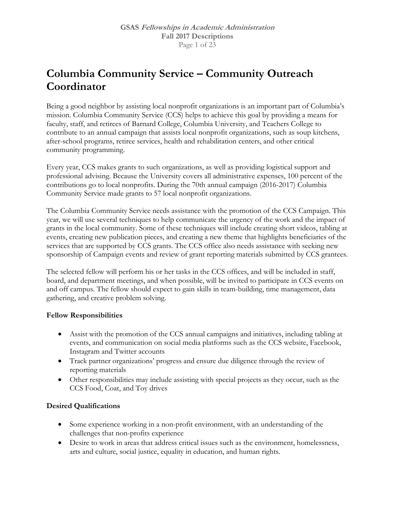## **Columbia Community Service – Community Outreach Coordinator**

Being a good neighbor by assisting local nonprofit organizations is an important part of Columbia's mission. Columbia Community Service (CCS) helps to achieve this goal by providing a means for faculty, staff, and retirees of Barnard College, Columbia University, and Teachers College to contribute to an annual campaign that assists local nonprofit organizations, such as soup kitchens, after-school programs, retiree services, health and rehabilitation centers, and other critical community programming.

Every year, CCS makes grants to such organizations, as well as providing logistical support and professional advising. Because the University covers all administrative expenses, 100 percent of the contributions go to local nonprofits. During the 70th annual campaign (2016-2017) Columbia Community Service made grants to 57 local nonprofit organizations.

The Columbia Community Service needs assistance with the promotion of the CCS Campaign. This year, we will use several techniques to help communicate the urgency of the work and the impact of grants in the local community. Some of these techniques will include creating short videos, tabling at events, creating new publication pieces, and creating a new theme that highlights beneficiaries of the services that are supported by CCS grants. The CCS office also needs assistance with seeking new sponsorship of Campaign events and review of grant reporting materials submitted by CCS grantees.

The selected fellow will perform his or her tasks in the CCS offices, and will be included in staff, board, and department meetings, and when possible, will be invited to participate in CCS events on and off campus. The fellow should expect to gain skills in team-building, time management, data gathering, and creative problem solving.

## **Fellow Responsibilities**

- Assist with the promotion of the CCS annual campaigns and initiatives, including tabling at events, and communication on social media platforms such as the CCS website, Facebook, Instagram and Twitter accounts
- Track partner organizations' progress and ensure due diligence through the review of reporting materials
- Other responsibilities may include assisting with special projects as they occur, such as the CCS Food, Coat, and Toy drives

## **Desired Qualifications**

- Some experience working in a non-profit environment, with an understanding of the challenges that non-profits experience
- Desire to work in areas that address critical issues such as the environment, homelessness, arts and culture, social justice, equality in education, and human rights.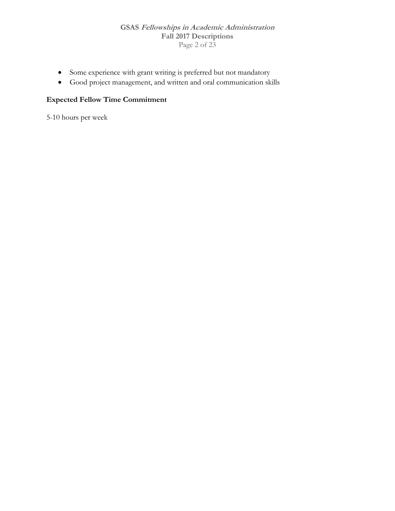#### **GSAS Fellowships in Academic Administration Fall 2017 Descriptions**  Page 2 of 23

- Some experience with grant writing is preferred but not mandatory
- Good project management, and written and oral communication skills

## **Expected Fellow Time Commitment**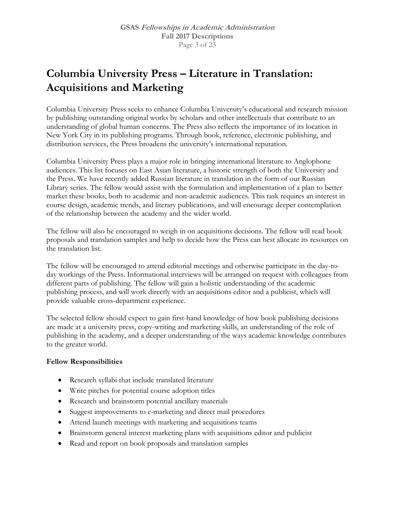# **Columbia University Press – Literature in Translation: Acquisitions and Marketing**

Columbia University Press seeks to enhance Columbia University's educational and research mission by publishing outstanding original works by scholars and other intellectuals that contribute to an understanding of global human concerns. The Press also reflects the importance of its location in New York City in its publishing programs. Through book, reference, electronic publishing, and distribution services, the Press broadens the university's international reputation.

Columbia University Press plays a major role in bringing international literature to Anglophone audiences. This list focuses on East Asian literature, a historic strength of both the University and the Press. We have recently added Russian literature in translation in the form of our Russian Library series. The fellow would assist with the formulation and implementation of a plan to better market these books, both to academic and non-academic audiences. This task requires an interest in course design, academic trends, and literary publications, and will encourage deeper contemplation of the relationship between the academy and the wider world.

The fellow will also be encouraged to weigh in on acquisitions decisions. The fellow will read book proposals and translation samples and help to decide how the Press can best allocate its resources on the translation list.

The fellow will be encouraged to attend editorial meetings and otherwise participate in the day-today workings of the Press. Informational interviews will be arranged on request with colleagues from different parts of publishing. The fellow will gain a holistic understanding of the academic publishing process, and will work directly with an acquisitions editor and a publicist, which will provide valuable cross-department experience.

The selected fellow should expect to gain first-hand knowledge of how book publishing decisions are made at a university press, copy-writing and marketing skills, an understanding of the role of publishing in the academy, and a deeper understanding of the ways academic knowledge contributes to the greater world.

- Research syllabi that include translated literature
- Write pitches for potential course adoption titles
- Research and brainstorm potential ancillary materials
- Suggest improvements to e-marketing and direct mail procedures
- Attend launch meetings with marketing and acquisitions teams
- Brainstorm general interest marketing plans with acquisitions editor and publicist
- Read and report on book proposals and translation samples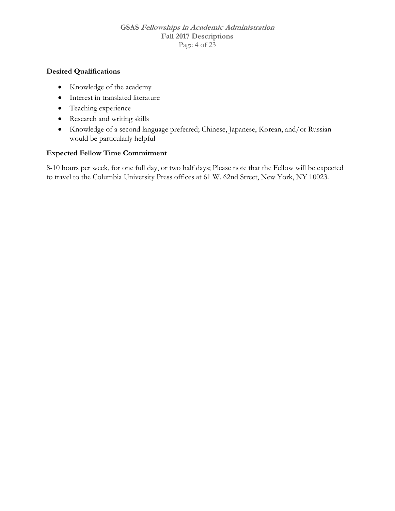#### **GSAS Fellowships in Academic Administration Fall 2017 Descriptions**  Page 4 of 23

## **Desired Qualifications**

- Knowledge of the academy
- Interest in translated literature
- Teaching experience
- Research and writing skills
- Knowledge of a second language preferred; Chinese, Japanese, Korean, and/or Russian would be particularly helpful

## **Expected Fellow Time Commitment**

8-10 hours per week, for one full day, or two half days; Please note that the Fellow will be expected to travel to the Columbia University Press offices at 61 W. 62nd Street, New York, NY 10023.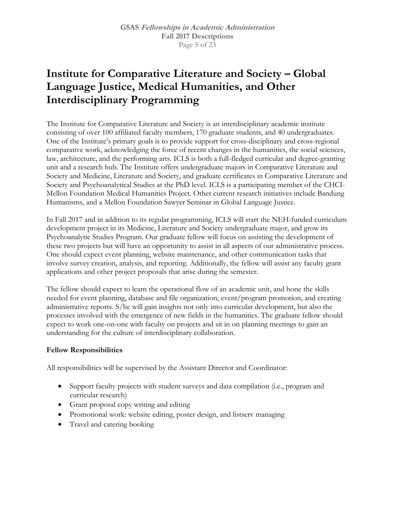## **Institute for Comparative Literature and Society – Global Language Justice, Medical Humanities, and Other Interdisciplinary Programming**

The Institute for Comparative Literature and Society is an interdisciplinary academic institute consisting of over 100 affiliated faculty members, 170 graduate students, and 40 undergraduates. One of the Institute's primary goals is to provide support for cross-disciplinary and cross-regional comparative work, acknowledging the force of recent changes in the humanities, the social sciences, law, architecture, and the performing arts. ICLS is both a full-fledged curricular and degree-granting unit and a research hub. The Institute offers undergraduate majors in Comparative Literature and Society and Medicine, Literature and Society, and graduate certificates in Comparative Literature and Society and Psychoanalytical Studies at the PhD level. ICLS is a participating member of the CHCI-Mellon Foundation Medical Humanities Project. Other current research initiatives include Bandung Humanisms, and a Mellon Foundation Sawyer Seminar in Global Language Justice.

In Fall 2017 and in addition to its regular programming, ICLS will start the NEH-funded curriculum development project in its Medicine, Literature and Society undergraduate major, and grow its Psychoanalytic Studies Program. Our graduate fellow will focus on assisting the development of these two projects but will have an opportunity to assist in all aspects of our administrative process. One should expect event planning, website maintenance, and other communication tasks that involve survey creation, analysis, and reporting. Additionally, the fellow will assist any faculty grant applications and other project proposals that arise during the semester.

The fellow should expect to learn the operational flow of an academic unit, and hone the skills needed for event planning, database and file organization, event/program promotion, and creating administrative reports. S/he will gain insights not only into curricular development, but also the processes involved with the emergence of new fields in the humanities. The graduate fellow should expect to work one-on-one with faculty on projects and sit in on planning meetings to gain an understanding for the culture of interdisciplinary collaboration.

#### **Fellow Responsibilities**

All responsibilities will be supervised by the Assistant Director and Coordinator:

- Support faculty projects with student surveys and data compilation (i.e., program and curricular research)
- Grant proposal copy writing and editing
- Promotional work: website editing, poster design, and listserv managing
- Travel and catering booking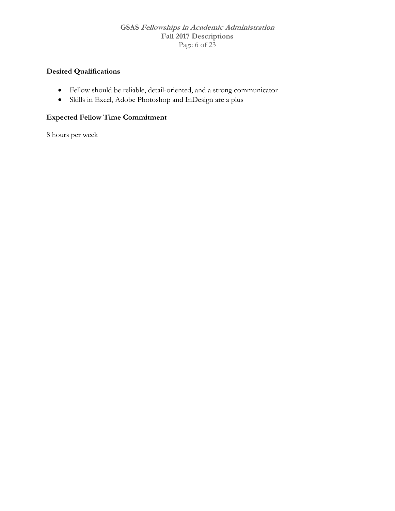#### **GSAS Fellowships in Academic Administration Fall 2017 Descriptions**  Page 6 of 23

## **Desired Qualifications**

- Fellow should be reliable, detail-oriented, and a strong communicator
- Skills in Excel, Adobe Photoshop and InDesign are a plus

## **Expected Fellow Time Commitment**

8 hours per week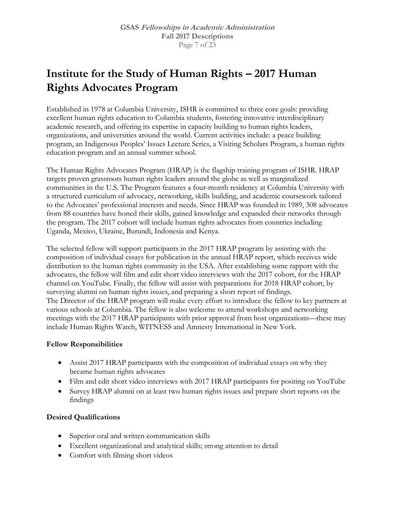# **Institute for the Study of Human Rights – 2017 Human Rights Advocates Program**

Established in 1978 at Columbia University, ISHR is committed to three core goals: providing excellent human rights education to Columbia students, fostering innovative interdisciplinary academic research, and offering its expertise in capacity building to human rights leaders, organizations, and universities around the world. Current activities include: a peace building program, an Indigenous Peoples' Issues Lecture Series, a Visiting Scholars Program, a human rights education program and an annual summer school.

The Human Rights Advocates Program (HRAP) is the flagship training program of ISHR. HRAP targets proven grassroots human rights leaders around the globe as well as marginalized communities in the U.S. The Program features a four-month residency at Columbia University with a structured curriculum of advocacy, networking, skills building, and academic coursework tailored to the Advocates' professional interests and needs. Since HRAP was founded in 1989, 308 advocates from 88 countries have honed their skills, gained knowledge and expanded their networks through the program. The 2017 cohort will include human rights advocates from countries including Uganda, Mexico, Ukraine, Burundi, Indonesia and Kenya.

The selected fellow will support participants in the 2017 HRAP program by assisting with the composition of individual essays for publication in the annual HRAP report, which receives wide distribution to the human rights community in the USA. After establishing some rapport with the advocates, the fellow will film and edit short video interviews with the 2017 cohort, for the HRAP channel on YouTube. Finally, the fellow will assist with preparations for 2018 HRAP cohort, by surveying alumni on human rights issues, and preparing a short report of findings. The Director of the HRAP program will make every effort to introduce the fellow to key partners at various schools at Columbia. The fellow is also welcome to attend workshops and networking meetings with the 2017 HRAP participants with prior approval from host organizations—these may include Human Rights Watch, WITNESS and Amnesty International in New York.

#### **Fellow Responsibilities**

- Assist 2017 HRAP participants with the composition of individual essays on why they became human rights advocates
- Film and edit short video interviews with 2017 HRAP participants for positing on YouTube
- Survey HRAP alumni on at least two human rights issues and prepare short reports on the findings

## **Desired Qualifications**

- Superior oral and written communication skills
- Excellent organizational and analytical skills; strong attention to detail
- Comfort with filming short videos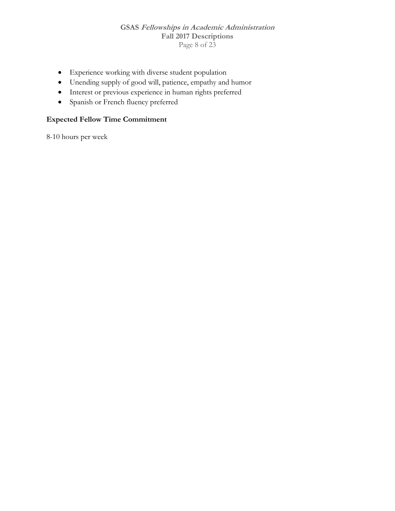#### **GSAS Fellowships in Academic Administration Fall 2017 Descriptions**  Page 8 of 23

- Experience working with diverse student population
- Unending supply of good will, patience, empathy and humor
- Interest or previous experience in human rights preferred
- Spanish or French fluency preferred

## **Expected Fellow Time Commitment**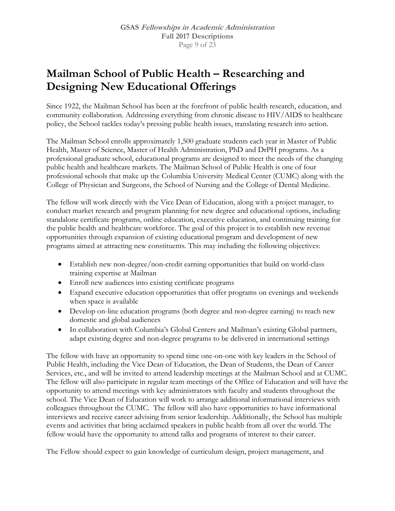## **Mailman School of Public Health – Researching and Designing New Educational Offerings**

Since 1922, the Mailman School has been at the forefront of public health research, education, and community collaboration. Addressing everything from chronic disease to HIV/AIDS to healthcare policy, the School tackles today's pressing public health issues, translating research into action.

The Mailman School enrolls approximately 1,500 graduate students each year in Master of Public Health, Master of Science, Master of Health Administration, PhD and DrPH programs. As a professional graduate school, educational programs are designed to meet the needs of the changing public health and healthcare markets. The Mailman School of Public Health is one of four professional schools that make up the Columbia University Medical Center (CUMC) along with the College of Physician and Surgeons, the School of Nursing and the College of Dental Medicine.

The fellow will work directly with the Vice Dean of Education, along with a project manager, to conduct market research and program planning for new degree and educational options, including standalone certificate programs, online education, executive education, and continuing training for the public health and healthcare workforce. The goal of this project is to establish new revenue opportunities through expansion of existing educational program and development of new programs aimed at attracting new constituents. This may including the following objectives:

- Establish new non-degree/non-credit earning opportunities that build on world-class training expertise at Mailman
- Enroll new audiences into existing certificate programs
- Expand executive education opportunities that offer programs on evenings and weekends when space is available
- Develop on-line education programs (both degree and non-degree earning) to reach new domestic and global audiences
- In collaboration with Columbia's Global Centers and Mailman's existing Global partners, adapt existing degree and non-degree programs to be delivered in international settings

The fellow with have an opportunity to spend time one-on-one with key leaders in the School of Public Health, including the Vice Dean of Education, the Dean of Students, the Dean of Career Services, etc., and will be invited to attend leadership meetings at the Mailman School and at CUMC. The fellow will also participate in regular team meetings of the Office of Education and will have the opportunity to attend meetings with key administrators with faculty and students throughout the school. The Vice Dean of Education will work to arrange additional informational interviews with colleagues throughout the CUMC. The fellow will also have opportunities to have informational interviews and receive career advising from senior leadership. Additionally, the School has multiple events and activities that bring acclaimed speakers in public health from all over the world. The fellow would have the opportunity to attend talks and programs of interest to their career.

The Fellow should expect to gain knowledge of curriculum design, project management, and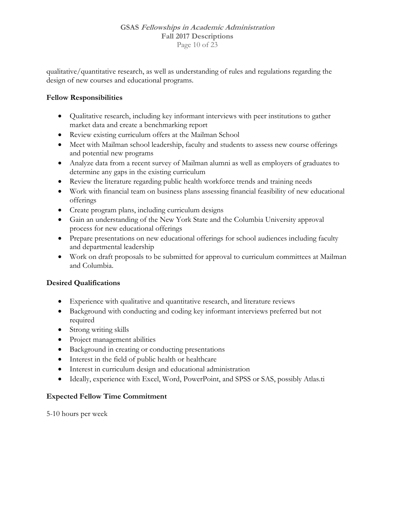#### **GSAS Fellowships in Academic Administration Fall 2017 Descriptions**  Page 10 of 23

qualitative/quantitative research, as well as understanding of rules and regulations regarding the design of new courses and educational programs.

## **Fellow Responsibilities**

- Qualitative research, including key informant interviews with peer institutions to gather market data and create a benchmarking report
- Review existing curriculum offers at the Mailman School
- Meet with Mailman school leadership, faculty and students to assess new course offerings and potential new programs
- Analyze data from a recent survey of Mailman alumni as well as employers of graduates to determine any gaps in the existing curriculum
- Review the literature regarding public health workforce trends and training needs
- Work with financial team on business plans assessing financial feasibility of new educational offerings
- Create program plans, including curriculum designs
- Gain an understanding of the New York State and the Columbia University approval process for new educational offerings
- Prepare presentations on new educational offerings for school audiences including faculty and departmental leadership
- Work on draft proposals to be submitted for approval to curriculum committees at Mailman and Columbia.

## **Desired Qualifications**

- Experience with qualitative and quantitative research, and literature reviews
- Background with conducting and coding key informant interviews preferred but not required
- Strong writing skills
- Project management abilities
- Background in creating or conducting presentations
- Interest in the field of public health or healthcare
- Interest in curriculum design and educational administration
- Ideally, experience with Excel, Word, PowerPoint, and SPSS or SAS, possibly Atlas.ti

## **Expected Fellow Time Commitment**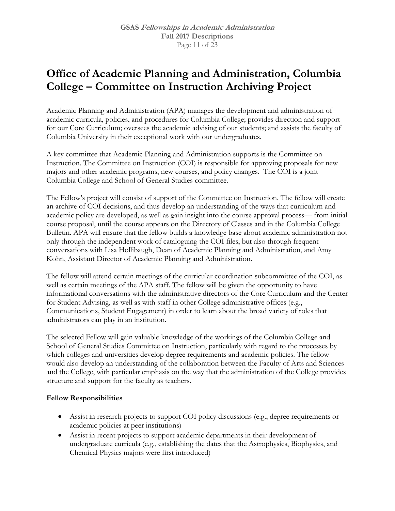## **Office of Academic Planning and Administration, Columbia College – Committee on Instruction Archiving Project**

Academic Planning and Administration (APA) manages the development and administration of academic curricula, policies, and procedures for Columbia College; provides direction and support for our Core Curriculum; oversees the academic advising of our students; and assists the faculty of Columbia University in their exceptional work with our undergraduates.

A key committee that Academic Planning and Administration supports is the Committee on Instruction. The Committee on Instruction (COI) is responsible for approving proposals for new majors and other academic programs, new courses, and policy changes. The COI is a joint Columbia College and School of General Studies committee.

The Fellow's project will consist of support of the Committee on Instruction. The fellow will create an archive of COI decisions, and thus develop an understanding of the ways that curriculum and academic policy are developed, as well as gain insight into the course approval process— from initial course proposal, until the course appears on the Directory of Classes and in the Columbia College Bulletin. APA will ensure that the fellow builds a knowledge base about academic administration not only through the independent work of cataloguing the COI files, but also through frequent conversations with Lisa Hollibaugh, Dean of Academic Planning and Administration, and Amy Kohn, Assistant Director of Academic Planning and Administration.

The fellow will attend certain meetings of the curricular coordination subcommittee of the COI, as well as certain meetings of the APA staff. The fellow will be given the opportunity to have informational conversations with the administrative directors of the Core Curriculum and the Center for Student Advising, as well as with staff in other College administrative offices (e.g., Communications, Student Engagement) in order to learn about the broad variety of roles that administrators can play in an institution.

The selected Fellow will gain valuable knowledge of the workings of the Columbia College and School of General Studies Committee on Instruction, particularly with regard to the processes by which colleges and universities develop degree requirements and academic policies. The fellow would also develop an understanding of the collaboration between the Faculty of Arts and Sciences and the College, with particular emphasis on the way that the administration of the College provides structure and support for the faculty as teachers.

- Assist in research projects to support COI policy discussions (e.g., degree requirements or academic policies at peer institutions)
- Assist in recent projects to support academic departments in their development of undergraduate curricula (e.g., establishing the dates that the Astrophysics, Biophysics, and Chemical Physics majors were first introduced)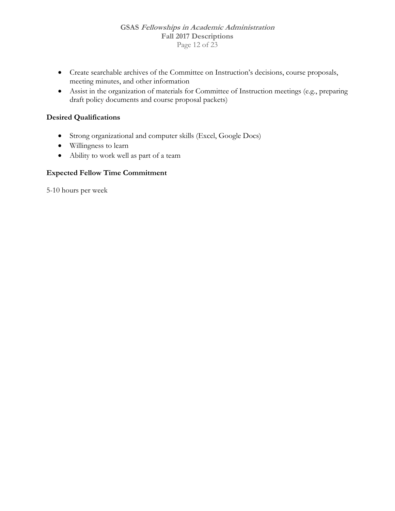- Create searchable archives of the Committee on Instruction's decisions, course proposals, meeting minutes, and other information
- Assist in the organization of materials for Committee of Instruction meetings (e.g., preparing draft policy documents and course proposal packets)

## **Desired Qualifications**

- Strong organizational and computer skills (Excel, Google Docs)
- Willingness to learn
- Ability to work well as part of a team

## **Expected Fellow Time Commitment**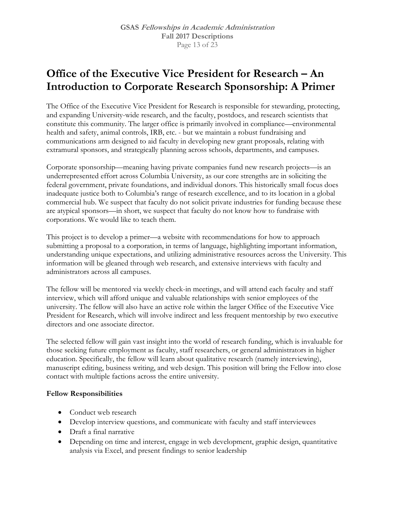## **Office of the Executive Vice President for Research – An Introduction to Corporate Research Sponsorship: A Primer**

The Office of the Executive Vice President for Research is responsible for stewarding, protecting, and expanding University-wide research, and the faculty, postdocs, and research scientists that constitute this community. The larger office is primarily involved in compliance—environmental health and safety, animal controls, IRB, etc. - but we maintain a robust fundraising and communications arm designed to aid faculty in developing new grant proposals, relating with extramural sponsors, and strategically planning across schools, departments, and campuses.

Corporate sponsorship—meaning having private companies fund new research projects—is an underrepresented effort across Columbia University, as our core strengths are in soliciting the federal government, private foundations, and individual donors. This historically small focus does inadequate justice both to Columbia's range of research excellence, and to its location in a global commercial hub. We suspect that faculty do not solicit private industries for funding because these are atypical sponsors—in short, we suspect that faculty do not know how to fundraise with corporations. We would like to teach them.

This project is to develop a primer—a website with recommendations for how to approach submitting a proposal to a corporation, in terms of language, highlighting important information, understanding unique expectations, and utilizing administrative resources across the University. This information will be gleaned through web research, and extensive interviews with faculty and administrators across all campuses.

The fellow will be mentored via weekly check-in meetings, and will attend each faculty and staff interview, which will afford unique and valuable relationships with senior employees of the university. The fellow will also have an active role within the larger Office of the Executive Vice President for Research, which will involve indirect and less frequent mentorship by two executive directors and one associate director.

The selected fellow will gain vast insight into the world of research funding, which is invaluable for those seeking future employment as faculty, staff researchers, or general administrators in higher education. Specifically, the fellow will learn about qualitative research (namely interviewing), manuscript editing, business writing, and web design. This position will bring the Fellow into close contact with multiple factions across the entire university.

- Conduct web research
- Develop interview questions, and communicate with faculty and staff interviewees
- Draft a final narrative
- Depending on time and interest, engage in web development, graphic design, quantitative analysis via Excel, and present findings to senior leadership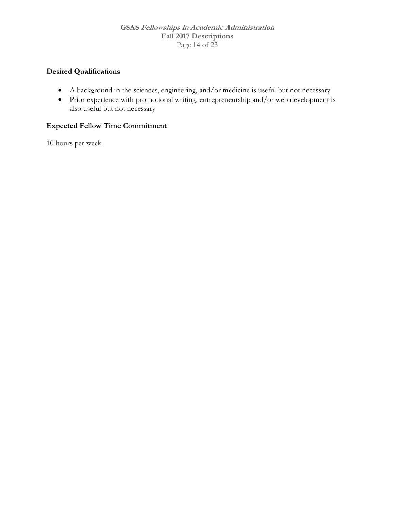#### **GSAS Fellowships in Academic Administration Fall 2017 Descriptions**  Page 14 of 23

## **Desired Qualifications**

- A background in the sciences, engineering, and/or medicine is useful but not necessary
- Prior experience with promotional writing, entrepreneurship and/or web development is also useful but not necessary

## **Expected Fellow Time Commitment**

10 hours per week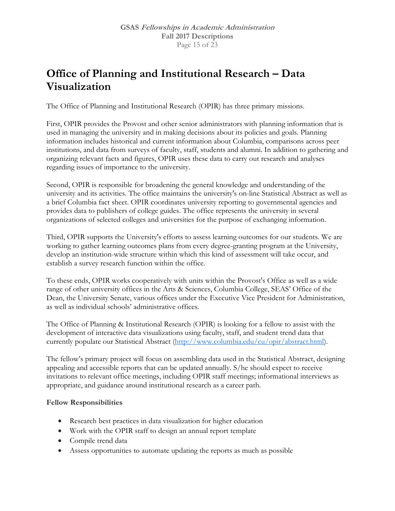## **Office of Planning and Institutional Research – Data Visualization**

The Office of Planning and Institutional Research (OPIR) has three primary missions.

First, OPIR provides the Provost and other senior administrators with planning information that is used in managing the university and in making decisions about its policies and goals. Planning information includes historical and current information about Columbia, comparisons across peer institutions, and data from surveys of faculty, staff, students and alumni. In addition to gathering and organizing relevant facts and figures, OPIR uses these data to carry out research and analyses regarding issues of importance to the university.

Second, OPIR is responsible for broadening the general knowledge and understanding of the university and its activities. The office maintains the university's on-line Statistical Abstract as well as a brief Columbia fact sheet. OPIR coordinates university reporting to governmental agencies and provides data to publishers of college guides. The office represents the university in several organizations of selected colleges and universities for the purpose of exchanging information.

Third, OPIR supports the University's efforts to assess learning outcomes for our students. We are working to gather learning outcomes plans from every degree-granting program at the University, develop an institution-wide structure within which this kind of assessment will take occur, and establish a survey research function within the office.

To these ends, OPIR works cooperatively with units within the Provost's Office as well as a wide range of other university offices in the Arts & Sciences, Columbia College, SEAS' Office of the Dean, the University Senate, various offices under the Executive Vice President for Administration, as well as individual schools' administrative offices.

The Office of Planning & Institutional Research (OPIR) is looking for a fellow to assist with the development of interactive data visualizations using faculty, staff, and student trend data that currently populate our Statistical Abstract (http://www.columbia.edu/cu/opir/abstract.html).

The fellow's primary project will focus on assembling data used in the Statistical Abstract, designing appealing and accessible reports that can be updated annually. S/he should expect to receive invitations to relevant office meetings, including OPIR staff meetings; informational interviews as appropriate, and guidance around institutional research as a career path.

- Research best practices in data visualization for higher education
- Work with the OPIR staff to design an annual report template
- Compile trend data
- Assess opportunities to automate updating the reports as much as possible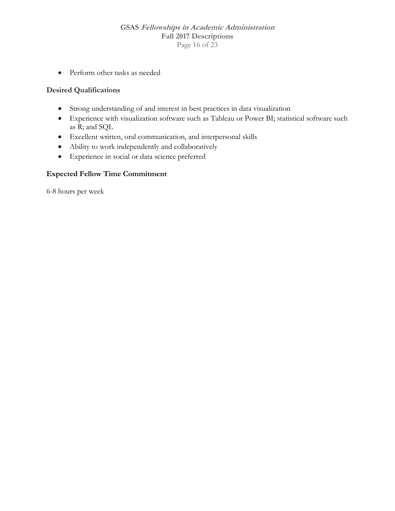#### **GSAS Fellowships in Academic Administration Fall 2017 Descriptions**  Page 16 of 23

Perform other tasks as needed

## **Desired Qualifications**

- Strong understanding of and interest in best practices in data visualization
- Experience with visualization software such as Tableau or Power BI; statistical software such as R; and SQL
- Excellent written, oral communication, and interpersonal skills
- Ability to work independently and collaboratively
- Experience in social or data science preferred

#### **Expected Fellow Time Commitment**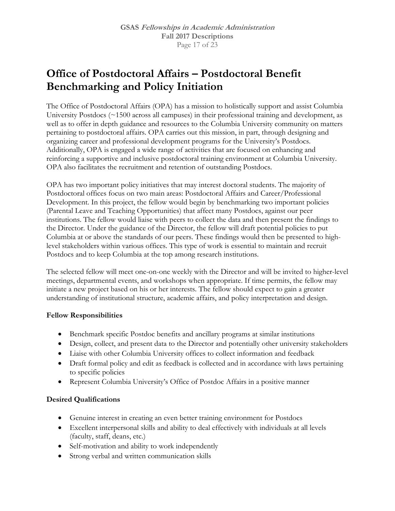## **Office of Postdoctoral Affairs – Postdoctoral Benefit Benchmarking and Policy Initiation**

The Office of Postdoctoral Affairs (OPA) has a mission to holistically support and assist Columbia University Postdocs (~1500 across all campuses) in their professional training and development, as well as to offer in depth guidance and resources to the Columbia University community on matters pertaining to postdoctoral affairs. OPA carries out this mission, in part, through designing and organizing career and professional development programs for the University's Postdocs. Additionally, OPA is engaged a wide range of activities that are focused on enhancing and reinforcing a supportive and inclusive postdoctoral training environment at Columbia University. OPA also facilitates the recruitment and retention of outstanding Postdocs.

OPA has two important policy initiatives that may interest doctoral students. The majority of Postdoctoral offices focus on two main areas: Postdoctoral Affairs and Career/Professional Development. In this project, the fellow would begin by benchmarking two important policies (Parental Leave and Teaching Opportunities) that affect many Postdocs, against our peer institutions. The fellow would liaise with peers to collect the data and then present the findings to the Director. Under the guidance of the Director, the fellow will draft potential policies to put Columbia at or above the standards of our peers. These findings would then be presented to highlevel stakeholders within various offices. This type of work is essential to maintain and recruit Postdocs and to keep Columbia at the top among research institutions.

The selected fellow will meet one-on-one weekly with the Director and will be invited to higher-level meetings, departmental events, and workshops when appropriate. If time permits, the fellow may initiate a new project based on his or her interests. The fellow should expect to gain a greater understanding of institutional structure, academic affairs, and policy interpretation and design.

## **Fellow Responsibilities**

- Benchmark specific Postdoc benefits and ancillary programs at similar institutions
- Design, collect, and present data to the Director and potentially other university stakeholders
- Liaise with other Columbia University offices to collect information and feedback
- Draft formal policy and edit as feedback is collected and in accordance with laws pertaining to specific policies
- Represent Columbia University's Office of Postdoc Affairs in a positive manner

## **Desired Qualifications**

- Genuine interest in creating an even better training environment for Postdocs
- Excellent interpersonal skills and ability to deal effectively with individuals at all levels (faculty, staff, deans, etc.)
- Self-motivation and ability to work independently
- Strong verbal and written communication skills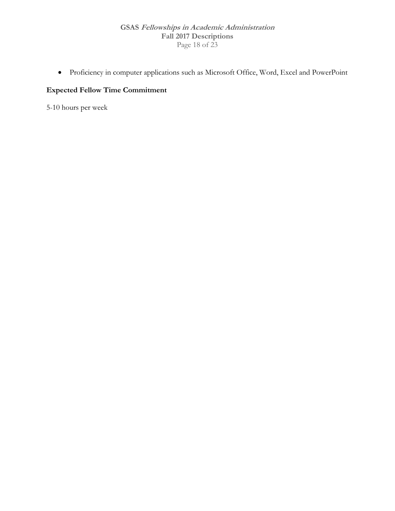#### **GSAS Fellowships in Academic Administration Fall 2017 Descriptions**  Page 18 of 23

Proficiency in computer applications such as Microsoft Office, Word, Excel and PowerPoint

## **Expected Fellow Time Commitment**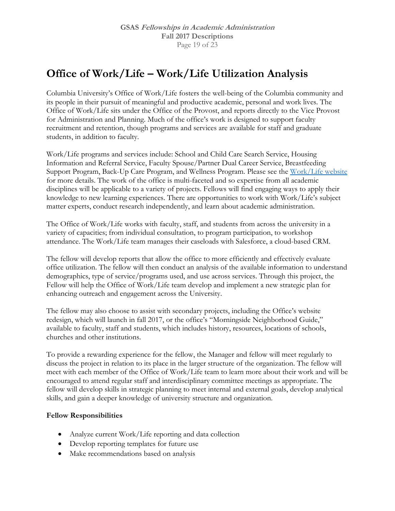## **Office of Work/Life – Work/Life Utilization Analysis**

Columbia University's Office of Work/Life fosters the well-being of the Columbia community and its people in their pursuit of meaningful and productive academic, personal and work lives. The Office of Work/Life sits under the Office of the Provost, and reports directly to the Vice Provost for Administration and Planning. Much of the office's work is designed to support faculty recruitment and retention, though programs and services are available for staff and graduate students, in addition to faculty.

Work/Life programs and services include: School and Child Care Search Service, Housing Information and Referral Service, Faculty Spouse/Partner Dual Career Service, Breastfeeding Support Program, Back-Up Care Program, and Wellness Program. Please see the Work/Life website for more details. The work of the office is multi-faceted and so expertise from all academic disciplines will be applicable to a variety of projects. Fellows will find engaging ways to apply their knowledge to new learning experiences. There are opportunities to work with Work/Life's subject matter experts, conduct research independently, and learn about academic administration.

The Office of Work/Life works with faculty, staff, and students from across the university in a variety of capacities; from individual consultation, to program participation, to workshop attendance. The Work/Life team manages their caseloads with Salesforce, a cloud-based CRM.

The fellow will develop reports that allow the office to more efficiently and effectively evaluate office utilization. The fellow will then conduct an analysis of the available information to understand demographics, type of service/programs used, and use across services. Through this project, the Fellow will help the Office of Work/Life team develop and implement a new strategic plan for enhancing outreach and engagement across the University.

The fellow may also choose to assist with secondary projects, including the Office's website redesign, which will launch in fall 2017, or the office's "Morningside Neighborhood Guide," available to faculty, staff and students, which includes history, resources, locations of schools, churches and other institutions.

To provide a rewarding experience for the fellow, the Manager and fellow will meet regularly to discuss the project in relation to its place in the larger structure of the organization. The fellow will meet with each member of the Office of Work/Life team to learn more about their work and will be encouraged to attend regular staff and interdisciplinary committee meetings as appropriate. The fellow will develop skills in strategic planning to meet internal and external goals, develop analytical skills, and gain a deeper knowledge of university structure and organization.

- Analyze current Work/Life reporting and data collection
- Develop reporting templates for future use
- Make recommendations based on analysis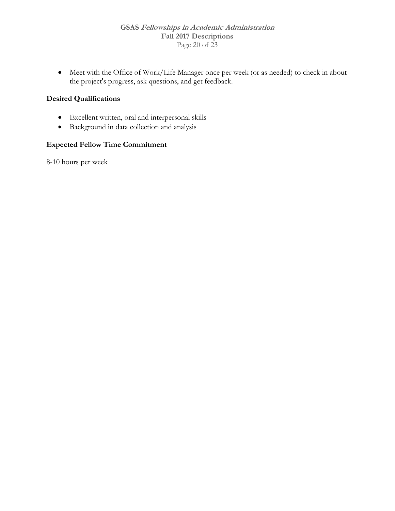Meet with the Office of Work/Life Manager once per week (or as needed) to check in about the project's progress, ask questions, and get feedback.

## **Desired Qualifications**

- Excellent written, oral and interpersonal skills
- Background in data collection and analysis

## **Expected Fellow Time Commitment**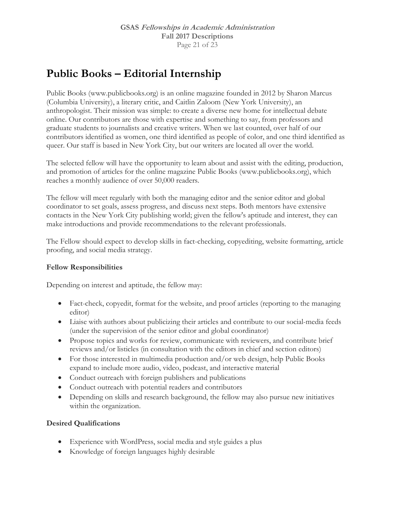## **Public Books – Editorial Internship**

Public Books (www.publicbooks.org) is an online magazine founded in 2012 by Sharon Marcus (Columbia University), a literary critic, and Caitlin Zaloom (New York University), an anthropologist. Their mission was simple: to create a diverse new home for intellectual debate online. Our contributors are those with expertise and something to say, from professors and graduate students to journalists and creative writers. When we last counted, over half of our contributors identified as women, one third identified as people of color, and one third identified as queer. Our staff is based in New York City, but our writers are located all over the world.

The selected fellow will have the opportunity to learn about and assist with the editing, production, and promotion of articles for the online magazine Public Books (www.publicbooks.org), which reaches a monthly audience of over 50,000 readers.

The fellow will meet regularly with both the managing editor and the senior editor and global coordinator to set goals, assess progress, and discuss next steps. Both mentors have extensive contacts in the New York City publishing world; given the fellow's aptitude and interest, they can make introductions and provide recommendations to the relevant professionals.

The Fellow should expect to develop skills in fact-checking, copyediting, website formatting, article proofing, and social media strategy.

## **Fellow Responsibilities**

Depending on interest and aptitude, the fellow may:

- Fact-check, copyedit, format for the website, and proof articles (reporting to the managing editor)
- Liaise with authors about publicizing their articles and contribute to our social-media feeds (under the supervision of the senior editor and global coordinator)
- Propose topics and works for review, communicate with reviewers, and contribute brief reviews and/or listicles (in consultation with the editors in chief and section editors)
- For those interested in multimedia production and/or web design, help Public Books expand to include more audio, video, podcast, and interactive material
- Conduct outreach with foreign publishers and publications
- Conduct outreach with potential readers and contributors
- Depending on skills and research background, the fellow may also pursue new initiatives within the organization.

## **Desired Qualifications**

- Experience with WordPress, social media and style guides a plus
- Knowledge of foreign languages highly desirable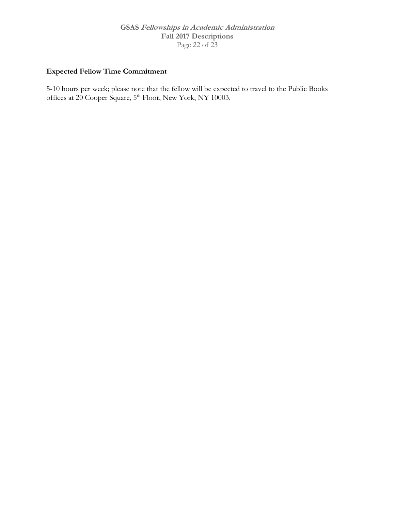#### **GSAS Fellowships in Academic Administration Fall 2017 Descriptions**  Page 22 of 23

## **Expected Fellow Time Commitment**

5-10 hours per week; please note that the fellow will be expected to travel to the Public Books offices at 20 Cooper Square, 5<sup>th</sup> Floor, New York, NY 10003.